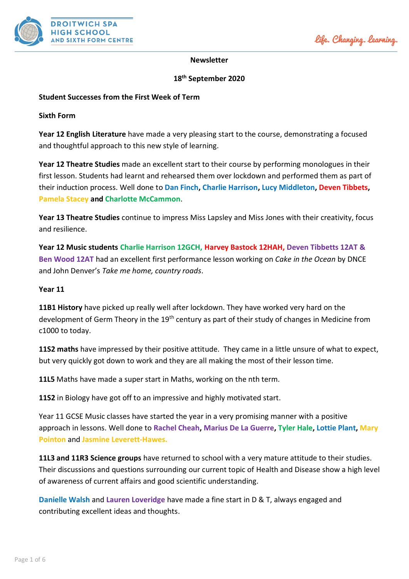

# **Newsletter**

# **18 th September 2020**

# **Student Successes from the First Week of Term**

### **Sixth Form**

**Year 12 English Literature** have made a very pleasing start to the course, demonstrating a focused and thoughtful approach to this new style of learning.

**Year 12 Theatre Studies** made an excellent start to their course by performing monologues in their first lesson. Students had learnt and rehearsed them over lockdown and performed them as part of their induction process. Well done to **Dan Finch, Charlie Harrison, Lucy Middleton, Deven Tibbets, Pamela Stacey and Charlotte McCammon**.

**Year 13 Theatre Studies** continue to impress Miss Lapsley and Miss Jones with their creativity, focus and resilience.

**Year 12 Music students Charlie Harrison 12GCH, Harvey Bastock 12HAH, Deven Tibbetts 12AT & Ben Wood 12AT** had an excellent first performance lesson working on *Cake in the Ocean* by DNCE and John Denver's *Take me home, country roads*.

### **Year 11**

**11B1 History** have picked up really well after lockdown. They have worked very hard on the development of Germ Theory in the 19<sup>th</sup> century as part of their study of changes in Medicine from c1000 to today.

**11S2 maths** have impressed by their positive attitude. They came in a little unsure of what to expect, but very quickly got down to work and they are all making the most of their lesson time.

**11L5** Maths have made a super start in Maths, working on the nth term.

**11S2** in Biology have got off to an impressive and highly motivated start.

Year 11 GCSE Music classes have started the year in a very promising manner with a positive approach in lessons. Well done to **Rachel Cheah, Marius De La Guerre, Tyler Hale, Lottie Plant, Mary Pointon** and **Jasmine Leverett-Hawes.**

**11L3 and 11R3 Science groups** have returned to school with a very mature attitude to their studies. Their discussions and questions surrounding our current topic of Health and Disease show a high level of awareness of current affairs and good scientific understanding.

**Danielle Walsh** and **Lauren Loveridge** have made a fine start in D & T, always engaged and contributing excellent ideas and thoughts.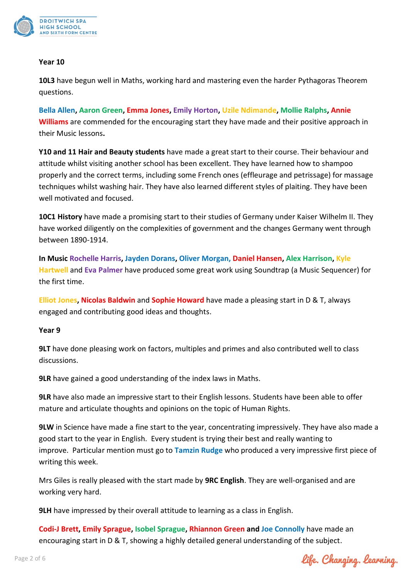

### **Year 10**

**10L3** have begun well in Maths, working hard and mastering even the harder Pythagoras Theorem questions.

**Bella Allen, Aaron Green, Emma Jones, Emily Horton, Uzile Ndimande, Mollie Ralphs, Annie Williams** are commended for the encouraging start they have made and their positive approach in their Music lessons**.**

**Y10 and 11 Hair and Beauty students** have made a great start to their course. Their behaviour and attitude whilst visiting another school has been excellent. They have learned how to shampoo properly and the correct terms, including some French ones (effleurage and petrissage) for massage techniques whilst washing hair. They have also learned different styles of plaiting. They have been well motivated and focused.

**10C1 History** have made a promising start to their studies of Germany under Kaiser Wilhelm II. They have worked diligently on the complexities of government and the changes Germany went through between 1890-1914.

**In Music Rochelle Harris, Jayden Dorans, Oliver Morgan, Daniel Hansen, Alex Harrison, Kyle Hartwell** and **Eva Palmer** have produced some great work using Soundtrap (a Music Sequencer) for the first time.

**Elliot Jones, Nicolas Baldwin** and **Sophie Howard** have made a pleasing start in D & T, always engaged and contributing good ideas and thoughts.

# **Year 9**

**9LT** have done pleasing work on factors, multiples and primes and also contributed well to class discussions.

**9LR** have gained a good understanding of the index laws in Maths.

**9LR** have also made an impressive start to their English lessons. Students have been able to offer mature and articulate thoughts and opinions on the topic of Human Rights.

**9LW** in Science have made a fine start to the year, concentrating impressively. They have also made a good start to the year in English. Every student is trying their best and really wanting to improve. Particular mention must go to **Tamzin Rudge** who produced a very impressive first piece of writing this week.

Mrs Giles is really pleased with the start made by **9RC English**. They are well-organised and are working very hard.

**9LH** have impressed by their overall attitude to learning as a class in English.

**Codi-J Brett, Emily Sprague, Isobel Sprague, Rhiannon Green and Joe Connolly** have made an encouraging start in D & T, showing a highly detailed general understanding of the subject.

life. Changing. learning.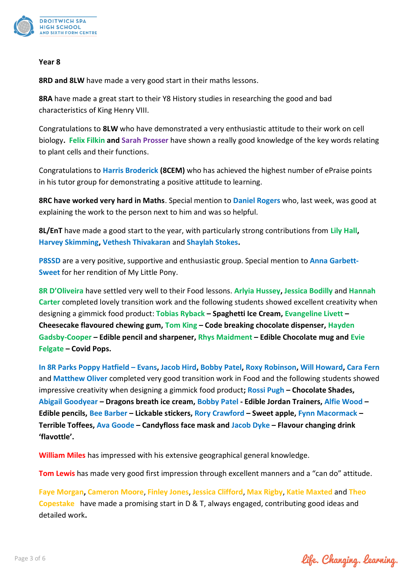

#### **Year 8**

**8RD and 8LW** have made a very good start in their maths lessons.

**8RA** have made a great start to their Y8 History studies in researching the good and bad characteristics of King Henry VIII.

Congratulations to **8LW** who have demonstrated a very enthusiastic attitude to their work on cell biology**. Felix Filkin and Sarah Prosser** have shown a really good knowledge of the key words relating to plant cells and their functions.

Congratulations to **Harris Broderick (8CEM)** who has achieved the highest number of ePraise points in his tutor group for demonstrating a positive attitude to learning.

**8RC have worked very hard in Maths**. Special mention to **Daniel Rogers** who, last week, was good at explaining the work to the person next to him and was so helpful.

**8L/EnT** have made a good start to the year, with particularly strong contributions from **Lily Hall, Harvey Skimming, Vethesh Thivakaran** and **Shaylah Stokes.**

**P8SSD** are a very positive, supportive and enthusiastic group. Special mention to **Anna Garbett-Sweet** for her rendition of My Little Pony.

**8R D'Oliveira** have settled very well to their Food lessons. **Arlyia Hussey, Jessica Bodilly** and **Hannah Carter** completed lovely transition work and the following students showed excellent creativity when designing a gimmick food product: **Tobias Ryback – Spaghetti Ice Cream, Evangeline Livett – Cheesecake flavoured chewing gum, Tom King – Code breaking chocolate dispenser, Hayden Gadsby-Cooper – Edible pencil and sharpener, Rhys Maidment – Edible Chocolate mug and Evie Felgate – Covid Pops.**

**In 8R Parks Poppy Hatfield – Evans, Jacob Hird, Bobby Patel, Roxy Robinson, Will Howard, Cara Fern**  and **Matthew Oliver** completed very good transition work in Food and the following students showed impressive creativity when designing a gimmick food product**; Rossi Pugh – Chocolate Shades, Abigail Goodyear – Dragons breath ice cream, Bobby Patel - Edible Jordan Trainers, Alfie Wood – Edible pencils, Bee Barber – Lickable stickers, Rory Crawford – Sweet apple, Fynn Macormack – Terrible Toffees, Ava Goode – Candyfloss face mask and Jacob Dyke – Flavour changing drink 'flavottle'.**

**William Miles** has impressed with his extensive geographical general knowledge.

**Tom Lewis** has made very good first impression through excellent manners and a "can do" attitude.

**Faye Morgan, Cameron Moore**, **Finley Jones**, **Jessica Clifford**, **Max Rigby**, **Katie Maxted** and **Theo Copestake** have made a promising start in D & T, always engaged, contributing good ideas and detailed work**.**

life. Changing. learning.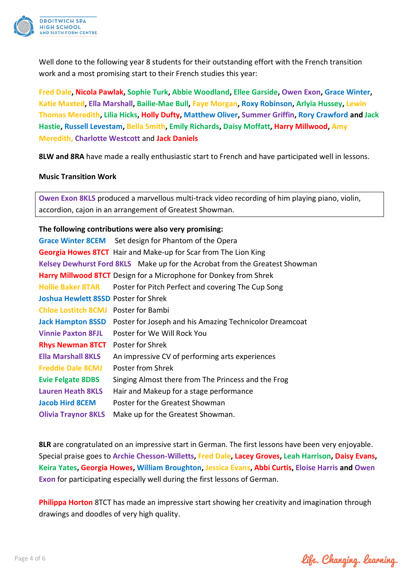

Well done to the following year 8 students for their outstanding effort with the French transition work and a most promising start to their French studies this year:

**Fred Dale, Nicola Pawlak, Sophie Turk, Abbie Woodland, Ellee Garside, Owen Exon, Grace Winter, Katie Maxted, Ella Marshall, Bailie-Mae Bull, Faye Morgan, Roxy Robinson, Arlyia Hussey, Lewin Thomas Meredith, Lilia Hicks, Holly Dufty, Matthew Oliver, Summer Griffin, Rory Crawford and Jack Hastie, Russell Levestam, Bella Smith, Emily Richards, Daisy Moffatt, Harry Millwood, Amy Meredith, Charlotte Westcott** and **Jack Daniels**

**8LW and 8RA** have made a really enthusiastic start to French and have participated well in lessons.

### **Music Transition Work**

**Owen Exon 8KLS** produced a marvellous multi-track video recording of him playing piano, violin, accordion, cajon in an arrangement of Greatest Showman.

# **The following contributions were also very promising:**

| Grace Winter 8CEM Set design for Phantom of the Opera                       |
|-----------------------------------------------------------------------------|
| Georgia Howes 8TCT Hair and Make-up for Scar from The Lion King             |
| Kelsey Dewhurst Ford 8KLS Make up for the Acrobat from the Greatest Showman |
| <b>Harry Millwood 8TCT</b> Design for a Microphone for Donkey from Shrek    |
| Poster for Pitch Perfect and covering The Cup Song                          |
| <b>Joshua Hewlett 8SSD Poster for Shrek</b>                                 |
| Poster for Bambi                                                            |
| Poster for Joseph and his Amazing Technicolor Dreamcoat                     |
| Poster for We Will Rock You                                                 |
| Poster for Shrek                                                            |
| An impressive CV of performing arts experiences                             |
| Poster from Shrek                                                           |
| Singing Almost there from The Princess and the Frog                         |
| Hair and Makeup for a stage performance                                     |
| Poster for the Greatest Showman                                             |
| Make up for the Greatest Showman.                                           |
|                                                                             |

**8LR** are congratulated on an impressive start in German. The first lessons have been very enjoyable. Special praise goes to **Archie Chesson-Willetts, Fred Dale, Lacey Groves, Leah Harrison, Daisy Evans, Keira Yates, Georgia Howes, William Broughton, Jessica Evans, Abbi Curtis, Eloise Harris and Owen Exon** for participating especially well during the first lessons of German.

**Philippa Horton** 8TCT has made an impressive start showing her creativity and imagination through drawings and doodles of very high quality.

life. Changing. learning.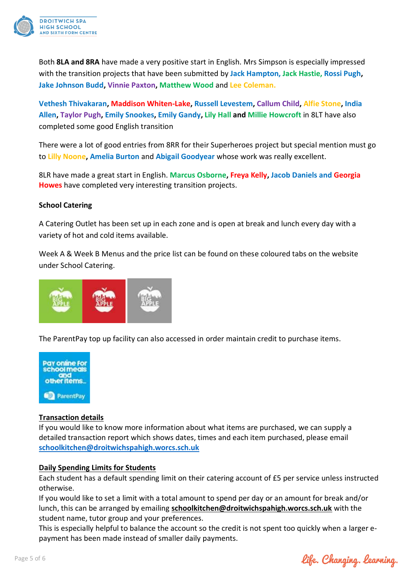

Both **8LA and 8RA** have made a very positive start in English. Mrs Simpson is especially impressed with the transition projects that have been submitted by **Jack Hampton, Jack Hastie, Rossi Pugh, Jake Johnson Budd, Vinnie Paxton, Matthew Wood** and **Lee Coleman.**

**Vethesh Thivakaran, Maddison Whiten-Lake, Russell Levestem, Callum Child, Alfie Stone, India Allen, Taylor Pugh, Emily Snookes, Emily Gandy, Lily Hall and Millie Howcroft** in 8LT have also completed some good English transition

There were a lot of good entries from 8RR for their Superheroes project but special mention must go to **Lilly Noone, Amelia Burton** and **Abigail Goodyear** whose work was really excellent.

8LR have made a great start in English. **Marcus Osborne, Freya Kelly, Jacob Daniels and Georgia Howes** have completed very interesting transition projects.

# **School Catering**

A Catering Outlet has been set up in each zone and is open at break and lunch every day with a variety of hot and cold items available.

Week A & Week B Menus and the price list can be found on these coloured tabs on the website under School Catering.



The ParentPay top up facility can also accessed in order maintain credit to purchase items.



# **Transaction details**

If you would like to know more information about what items are purchased, we can supply a detailed transaction report which shows dates, times and each item purchased, please email **[schoolkitchen@droitwichspahigh.worcs.sch.uk](mailto:schoolkitchen@droitwichspahigh.worcs.sch.uk)**

# **Daily Spending Limits for Students**

Each student has a default spending limit on their catering account of £5 per service unless instructed otherwise.

If you would like to set a limit with a total amount to spend per day or an amount for break and/or lunch, this can be arranged by emailing **[schoolkitchen@droitwichspahigh.worcs.sch.uk](mailto:schoolkitchen@droitwichspahigh.worcs.sch.uk)** with the student name, tutor group and your preferences.

This is especially helpful to balance the account so the credit is not spent too quickly when a larger epayment has been made instead of smaller daily payments.

life. Changing. learning.